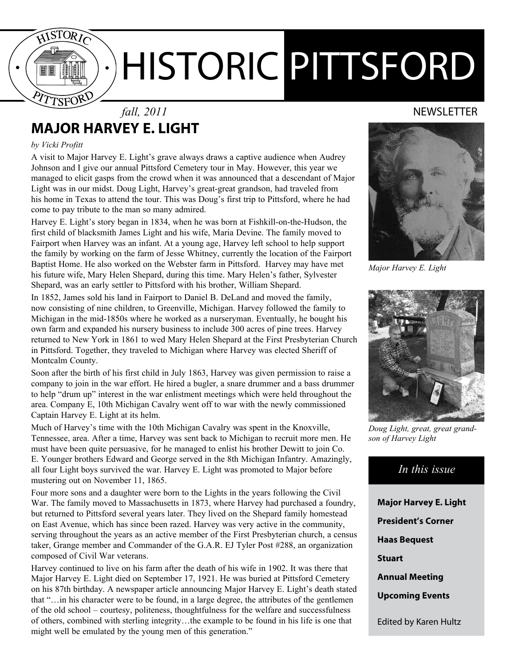

### *fall, 2011* NEWSLETTER **Major Harvey E. Light**

#### *by Vicki Profitt*

A visit to Major Harvey E. Light's grave always draws a captive audience when Audrey Johnson and I give our annual Pittsford Cemetery tour in May. However, this year we managed to elicit gasps from the crowd when it was announced that a descendant of Major Light was in our midst. Doug Light, Harvey's great-great grandson, had traveled from his home in Texas to attend the tour. This was Doug's first trip to Pittsford, where he had come to pay tribute to the man so many admired.

Harvey E. Light's story began in 1834, when he was born at Fishkill-on-the-Hudson, the first child of blacksmith James Light and his wife, Maria Devine. The family moved to Fairport when Harvey was an infant. At a young age, Harvey left school to help support the family by working on the farm of Jesse Whitney, currently the location of the Fairport Baptist Home. He also worked on the Webster farm in Pittsford. Harvey may have met his future wife, Mary Helen Shepard, during this time. Mary Helen's father, Sylvester Shepard, was an early settler to Pittsford with his brother, William Shepard.

In 1852, James sold his land in Fairport to Daniel B. DeLand and moved the family, now consisting of nine children, to Greenville, Michigan. Harvey followed the family to Michigan in the mid-1850s where he worked as a nurseryman. Eventually, he bought his own farm and expanded his nursery business to include 300 acres of pine trees. Harvey returned to New York in 1861 to wed Mary Helen Shepard at the First Presbyterian Church in Pittsford. Together, they traveled to Michigan where Harvey was elected Sheriff of Montcalm County.

Soon after the birth of his first child in July 1863, Harvey was given permission to raise a company to join in the war effort. He hired a bugler, a snare drummer and a bass drummer to help "drum up" interest in the war enlistment meetings which were held throughout the area. Company E, 10th Michigan Cavalry went off to war with the newly commissioned Captain Harvey E. Light at its helm.

Much of Harvey's time with the 10th Michigan Cavalry was spent in the Knoxville, Tennessee, area. After a time, Harvey was sent back to Michigan to recruit more men. He must have been quite persuasive, for he managed to enlist his brother Dewitt to join Co. E. Younger brothers Edward and George served in the 8th Michigan Infantry. Amazingly, all four Light boys survived the war. Harvey E. Light was promoted to Major before mustering out on November 11, 1865.

Four more sons and a daughter were born to the Lights in the years following the Civil War. The family moved to Massachusetts in 1873, where Harvey had purchased a foundry, but returned to Pittsford several years later. They lived on the Shepard family homestead on East Avenue, which has since been razed. Harvey was very active in the community, serving throughout the years as an active member of the First Presbyterian church, a census taker, Grange member and Commander of the G.A.R. EJ Tyler Post #288, an organization composed of Civil War veterans.

Harvey continued to live on his farm after the death of his wife in 1902. It was there that Major Harvey E. Light died on September 17, 1921. He was buried at Pittsford Cemetery on his 87th birthday. A newspaper article announcing Major Harvey E. Light's death stated that "…in his character were to be found, in a large degree, the attributes of the gentlemen of the old school – courtesy, politeness, thoughtfulness for the welfare and successfulness of others, combined with sterling integrity…the example to be found in his life is one that might well be emulated by the young men of this generation."



*Major Harvey E. Light*



*Doug Light, great, great grandson of Harvey Light*

### *In this issue*

**Major Harvey E. Light President's Corner Haas Bequest Stuart Annual Meeting Upcoming Events** Edited by Karen Hultz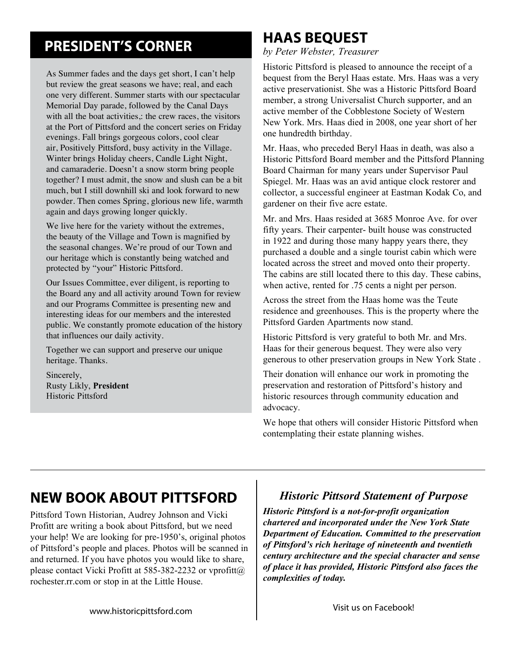# **PRESIDENT'S CORNER**

As Summer fades and the days get short, I can't help but review the great seasons we have; real, and each one very different. Summer starts with our spectacular Memorial Day parade, followed by the Canal Days with all the boat activities,: the crew races, the visitors at the Port of Pittsford and the concert series on Friday evenings. Fall brings gorgeous colors, cool clear air, Positively Pittsford, busy activity in the Village. Winter brings Holiday cheers, Candle Light Night, and camaraderie. Doesn't a snow storm bring people together? I must admit, the snow and slush can be a bit much, but I still downhill ski and look forward to new powder. Then comes Spring, glorious new life, warmth again and days growing longer quickly.

We live here for the variety without the extremes, the beauty of the Village and Town is magnified by the seasonal changes. We're proud of our Town and our heritage which is constantly being watched and protected by "your" Historic Pittsford.

Our Issues Committee, ever diligent, is reporting to the Board any and all activity around Town for review and our Programs Committee is presenting new and interesting ideas for our members and the interested public. We constantly promote education of the history that influences our daily activity.

Together we can support and preserve our unique heritage. Thanks.

Sincerely, Rusty Likly, **President** Historic Pittsford

# **Haas bequest**

*by Peter Webster, Treasurer*

Historic Pittsford is pleased to announce the receipt of a bequest from the Beryl Haas estate. Mrs. Haas was a very active preservationist. She was a Historic Pittsford Board member, a strong Universalist Church supporter, and an active member of the Cobblestone Society of Western New York. Mrs. Haas died in 2008, one year short of her one hundredth birthday.

Mr. Haas, who preceded Beryl Haas in death, was also a Historic Pittsford Board member and the Pittsford Planning Board Chairman for many years under Supervisor Paul Spiegel. Mr. Haas was an avid antique clock restorer and collector, a successful engineer at Eastman Kodak Co, and gardener on their five acre estate.

Mr. and Mrs. Haas resided at 3685 Monroe Ave. for over fifty years. Their carpenter- built house was constructed in 1922 and during those many happy years there, they purchased a double and a single tourist cabin which were located across the street and moved onto their property. The cabins are still located there to this day. These cabins, when active, rented for .75 cents a night per person.

Across the street from the Haas home was the Teute residence and greenhouses. This is the property where the Pittsford Garden Apartments now stand.

Historic Pittsford is very grateful to both Mr. and Mrs. Haas for their generous bequest. They were also very generous to other preservation groups in New York State .

Their donation will enhance our work in promoting the preservation and restoration of Pittsford's history and historic resources through community education and advocacy.

We hope that others will consider Historic Pittsford when contemplating their estate planning wishes.

# **new book about pittsford**

Pittsford Town Historian, Audrey Johnson and Vicki Profitt are writing a book about Pittsford, but we need your help! We are looking for pre-1950's, original photos of Pittsford's people and places. Photos will be scanned in and returned. If you have photos you would like to share, please contact Vicki Profitt at 585-382-2232 or vprofitt $(a)$ rochester.rr.com or stop in at the Little House.

### *Historic Pittsord Statement of Purpose*

*Historic Pittsford is a not-for-profit organization chartered and incorporated under the New York State Department of Education. Committed to the preservation of Pittsford's rich heritage of nineteenth and twentieth century architecture and the special character and sense of place it has provided, Historic Pittsford also faces the complexities of today.*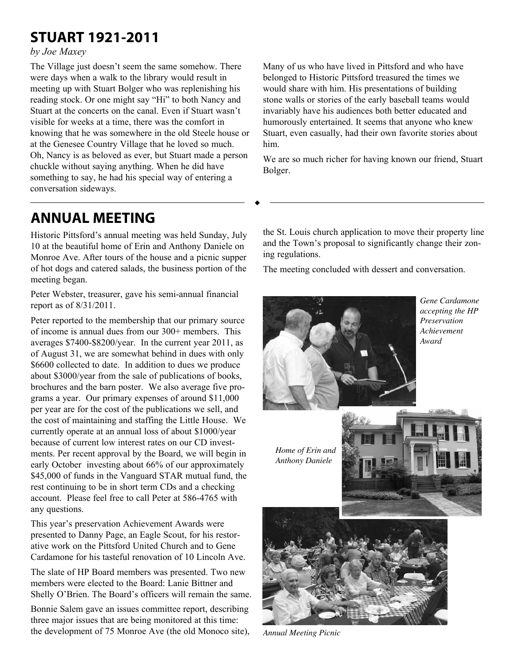# **Stuart 1921-2011**

#### *by Joe Maxey*

The Village just doesn't seem the same somehow. There were days when a walk to the library would result in meeting up with Stuart Bolger who was replenishing his reading stock. Or one might say "Hi" to both Nancy and Stuart at the concerts on the canal. Even if Stuart wasn't visible for weeks at a time, there was the comfort in knowing that he was somewhere in the old Steele house or at the Genesee Country Village that he loved so much. Oh, Nancy is as beloved as ever, but Stuart made a person chuckle without saying anything. When he did have something to say, he had his special way of entering a conversation sideways.

Many of us who have lived in Pittsford and who have belonged to Historic Pittsford treasured the times we would share with him. His presentations of building stone walls or stories of the early baseball teams would invariably have his audiences both better educated and humorously entertained. It seems that anyone who knew Stuart, even casually, had their own favorite stories about him.

We are so much richer for having known our friend, Stuart Bolger.

# **annual meeting**

Historic Pittsford's annual meeting was held Sunday, July 10 at the beautiful home of Erin and Anthony Daniele on Monroe Ave. After tours of the house and a picnic supper of hot dogs and catered salads, the business portion of the meeting began.

Peter Webster, treasurer, gave his semi-annual financial report as of 8/31/2011.

Peter reported to the membership that our primary source of income is annual dues from our 300+ members. This averages \$7400-\$8200/year. In the current year 2011, as of August 31, we are somewhat behind in dues with only \$6600 collected to date. In addition to dues we produce about \$3000/year from the sale of publications of books, brochures and the barn poster. We also average five programs a year. Our primary expenses of around \$11,000 per year are for the cost of the publications we sell, and the cost of maintaining and staffing the Little House. We currently operate at an annual loss of about \$1000/year because of current low interest rates on our CD investments. Per recent approval by the Board, we will begin in early October investing about 66% of our approximately \$45,000 of funds in the Vanguard STAR mutual fund, the rest continuing to be in short term CDs and a checking account. Please feel free to call Peter at 586-4765 with any questions.

This year's preservation Achievement Awards were presented to Danny Page, an Eagle Scout, for his restorative work on the Pittsford United Church and to Gene Cardamone for his tasteful renovation of 10 Lincoln Ave.

The slate of HP Board members was presented. Two new members were elected to the Board: Lanie Bittner and Shelly O'Brien. The Board's officers will remain the same.

Bonnie Salem gave an issues committee report, describing three major issues that are being monitored at this time: the development of 75 Monroe Ave (the old Monoco site), the St. Louis church application to move their property line and the Town's proposal to significantly change their zoning regulations.

The meeting concluded with dessert and conversation.



*Gene Cardamone accepting the HP Preservation Achievement Award*

*Home of Erin and Anthony Daniele*





*Annual Meeting Picnic*